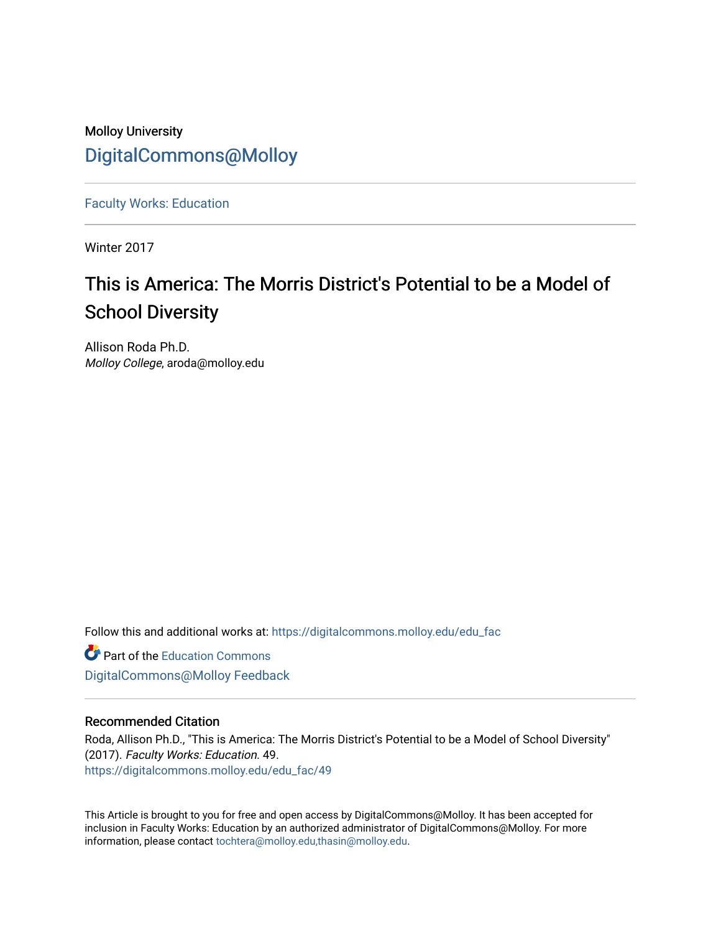# Molloy University [DigitalCommons@Molloy](https://digitalcommons.molloy.edu/)

[Faculty Works: Education](https://digitalcommons.molloy.edu/edu_fac) 

Winter 2017

# This is America: The Morris District's Potential to be a Model of School Diversity

Allison Roda Ph.D. Molloy College, aroda@molloy.edu

Follow this and additional works at: [https://digitalcommons.molloy.edu/edu\\_fac](https://digitalcommons.molloy.edu/edu_fac?utm_source=digitalcommons.molloy.edu%2Fedu_fac%2F49&utm_medium=PDF&utm_campaign=PDFCoverPages)

**P** Part of the [Education Commons](https://network.bepress.com/hgg/discipline/784?utm_source=digitalcommons.molloy.edu%2Fedu_fac%2F49&utm_medium=PDF&utm_campaign=PDFCoverPages)

[DigitalCommons@Molloy Feedback](https://molloy.libwizard.com/f/dcfeedback)

# Recommended Citation

Roda, Allison Ph.D., "This is America: The Morris District's Potential to be a Model of School Diversity" (2017). Faculty Works: Education. 49. [https://digitalcommons.molloy.edu/edu\\_fac/49](https://digitalcommons.molloy.edu/edu_fac/49?utm_source=digitalcommons.molloy.edu%2Fedu_fac%2F49&utm_medium=PDF&utm_campaign=PDFCoverPages) 

This Article is brought to you for free and open access by DigitalCommons@Molloy. It has been accepted for inclusion in Faculty Works: Education by an authorized administrator of DigitalCommons@Molloy. For more information, please contact [tochtera@molloy.edu,thasin@molloy.edu.](mailto:tochtera@molloy.edu,thasin@molloy.edu)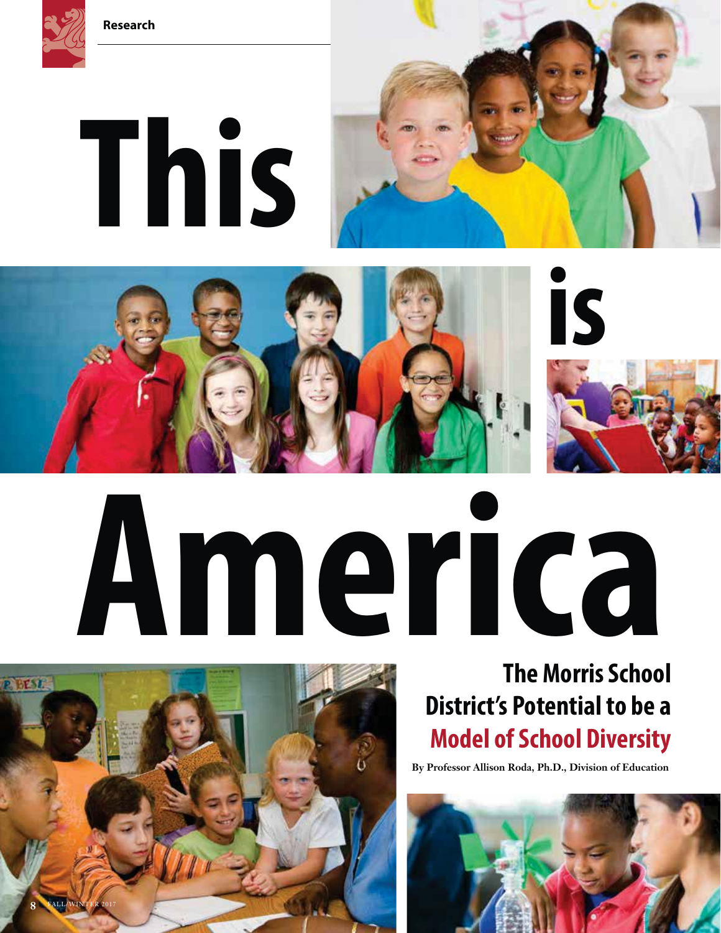

# **This**





# **America**



# **The Morris School District's Potential to be a Model of School Diversity**

**By Professor Allison Roda, Ph.D., Division of Education**

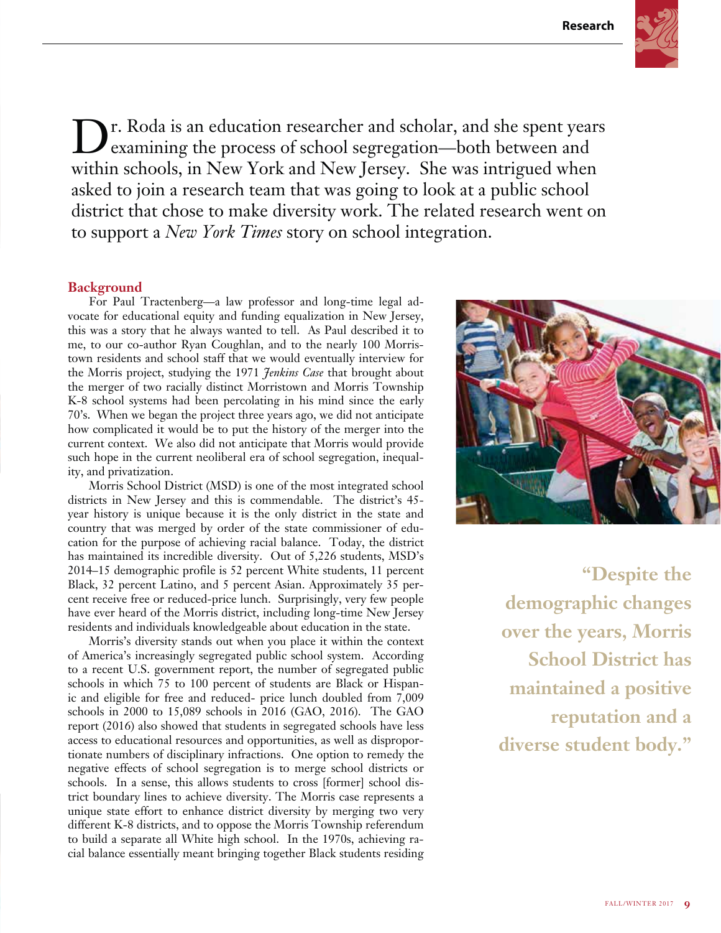

**D**r. Roda is an education researcher and scholar, and she spent years<br>examining the process of school segregation—both between and within schools, in New York and New Jersey. She was intrigued when asked to join a research team that was going to look at a public school district that chose to make diversity work. The related research went on to support a *New York Times* story on school integration.

# **Background**

For Paul Tractenberg—a law professor and long-time legal advocate for educational equity and funding equalization in New Jersey, this was a story that he always wanted to tell. As Paul described it to me, to our co-author Ryan Coughlan, and to the nearly 100 Morristown residents and school staff that we would eventually interview for the Morris project, studying the 1971 *Jenkins Case* that brought about the merger of two racially distinct Morristown and Morris Township K-8 school systems had been percolating in his mind since the early 70's. When we began the project three years ago, we did not anticipate how complicated it would be to put the history of the merger into the current context. We also did not anticipate that Morris would provide such hope in the current neoliberal era of school segregation, inequality, and privatization.

Morris School District (MSD) is one of the most integrated school districts in New Jersey and this is commendable. The district's 45 year history is unique because it is the only district in the state and country that was merged by order of the state commissioner of education for the purpose of achieving racial balance. Today, the district has maintained its incredible diversity. Out of 5,226 students, MSD's 2014–15 demographic profile is 52 percent White students, 11 percent Black, 32 percent Latino, and 5 percent Asian. Approximately 35 percent receive free or reduced-price lunch. Surprisingly, very few people have ever heard of the Morris district, including long-time New Jersey residents and individuals knowledgeable about education in the state.

Morris's diversity stands out when you place it within the context of America's increasingly segregated public school system. According to a recent U.S. government report, the number of segregated public schools in which 75 to 100 percent of students are Black or Hispanic and eligible for free and reduced- price lunch doubled from 7,009 schools in 2000 to 15,089 schools in 2016 (GAO, 2016). The GAO report (2016) also showed that students in segregated schools have less access to educational resources and opportunities, as well as disproportionate numbers of disciplinary infractions. One option to remedy the negative effects of school segregation is to merge school districts or schools. In a sense, this allows students to cross [former] school district boundary lines to achieve diversity. The Morris case represents a unique state effort to enhance district diversity by merging two very different K-8 districts, and to oppose the Morris Township referendum to build a separate all White high school. In the 1970s, achieving racial balance essentially meant bringing together Black students residing



**"Despite the demographic changes over the years, Morris School District has maintained a positive reputation and a diverse student body."**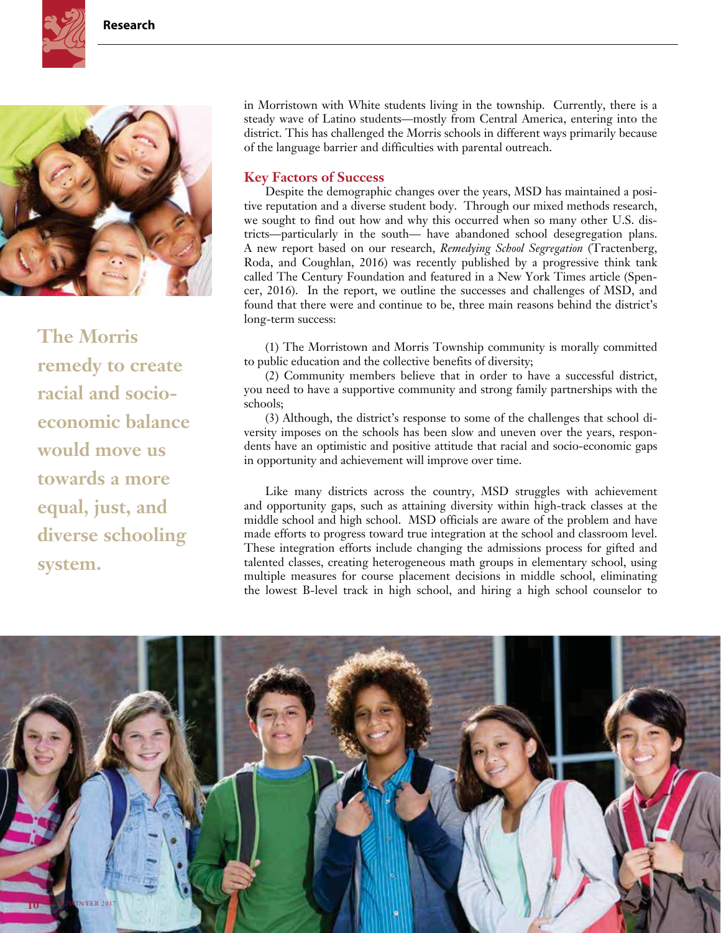



**The Morris remedy to create racial and socioeconomic balance would move us towards a more equal, just, and diverse schooling system.**

in Morristown with White students living in the township. Currently, there is a steady wave of Latino students—mostly from Central America, entering into the district. This has challenged the Morris schools in different ways primarily because of the language barrier and difficulties with parental outreach.

# **Key Factors of Success**

Despite the demographic changes over the years, MSD has maintained a positive reputation and a diverse student body. Through our mixed methods research, we sought to find out how and why this occurred when so many other U.S. districts—particularly in the south— have abandoned school desegregation plans. A new report based on our research, *Remedying School Segregation* (Tractenberg, Roda, and Coughlan, 2016) was recently published by a progressive think tank called The Century Foundation and featured in a New York Times article (Spencer, 2016). In the report, we outline the successes and challenges of MSD, and found that there were and continue to be, three main reasons behind the district's long-term success:

(1) The Morristown and Morris Township community is morally committed to public education and the collective benefits of diversity;

(2) Community members believe that in order to have a successful district, you need to have a supportive community and strong family partnerships with the schools;

(3) Although, the district's response to some of the challenges that school diversity imposes on the schools has been slow and uneven over the years, respondents have an optimistic and positive attitude that racial and socio-economic gaps in opportunity and achievement will improve over time.

Like many districts across the country, MSD struggles with achievement and opportunity gaps, such as attaining diversity within high-track classes at the middle school and high school. MSD officials are aware of the problem and have made efforts to progress toward true integration at the school and classroom level. These integration efforts include changing the admissions process for gifted and talented classes, creating heterogeneous math groups in elementary school, using multiple measures for course placement decisions in middle school, eliminating the lowest B-level track in high school, and hiring a high school counselor to

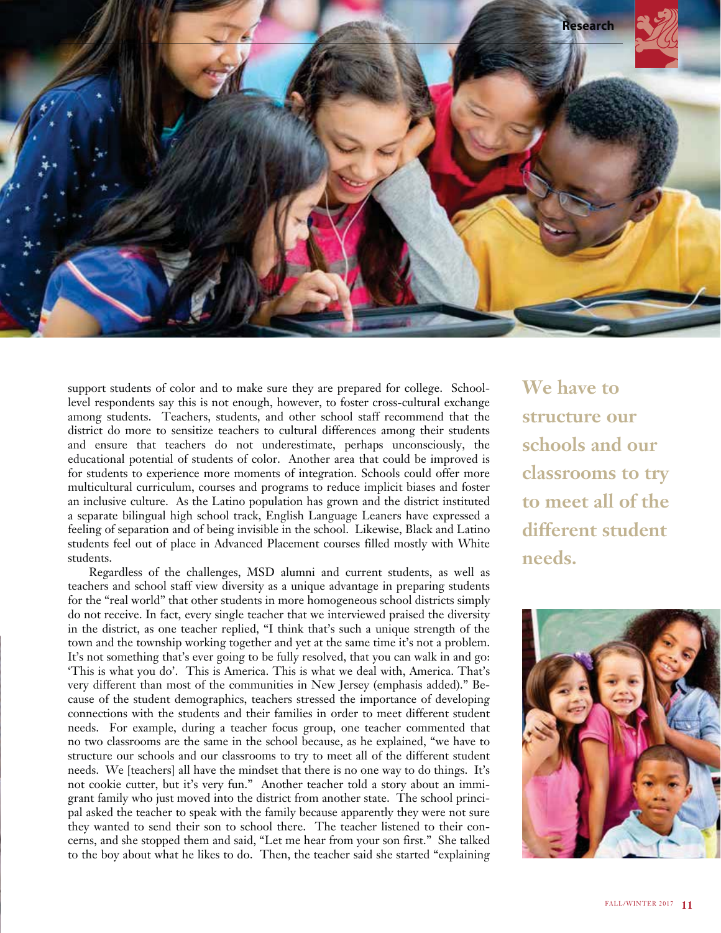

support students of color and to make sure they are prepared for college. Schoollevel respondents say this is not enough, however, to foster cross-cultural exchange among students. Teachers, students, and other school staff recommend that the district do more to sensitize teachers to cultural differences among their students and ensure that teachers do not underestimate, perhaps unconsciously, the educational potential of students of color. Another area that could be improved is for students to experience more moments of integration. Schools could offer more multicultural curriculum, courses and programs to reduce implicit biases and foster an inclusive culture. As the Latino population has grown and the district instituted a separate bilingual high school track, English Language Leaners have expressed a feeling of separation and of being invisible in the school. Likewise, Black and Latino students feel out of place in Advanced Placement courses filled mostly with White students.

Regardless of the challenges, MSD alumni and current students, as well as teachers and school staff view diversity as a unique advantage in preparing students for the "real world" that other students in more homogeneous school districts simply do not receive. In fact, every single teacher that we interviewed praised the diversity in the district, as one teacher replied, "I think that's such a unique strength of the town and the township working together and yet at the same time it's not a problem. It's not something that's ever going to be fully resolved, that you can walk in and go: 'This is what you do'. This is America. This is what we deal with, America. That's very different than most of the communities in New Jersey (emphasis added)." Because of the student demographics, teachers stressed the importance of developing connections with the students and their families in order to meet different student needs. For example, during a teacher focus group, one teacher commented that no two classrooms are the same in the school because, as he explained, "we have to structure our schools and our classrooms to try to meet all of the different student needs. We [teachers] all have the mindset that there is no one way to do things. It's not cookie cutter, but it's very fun." Another teacher told a story about an immigrant family who just moved into the district from another state. The school principal asked the teacher to speak with the family because apparently they were not sure they wanted to send their son to school there. The teacher listened to their concerns, and she stopped them and said, "Let me hear from your son first." She talked to the boy about what he likes to do. Then, the teacher said she started "explaining

**We have to structure our schools and our classrooms to try to meet all of the different student needs.**

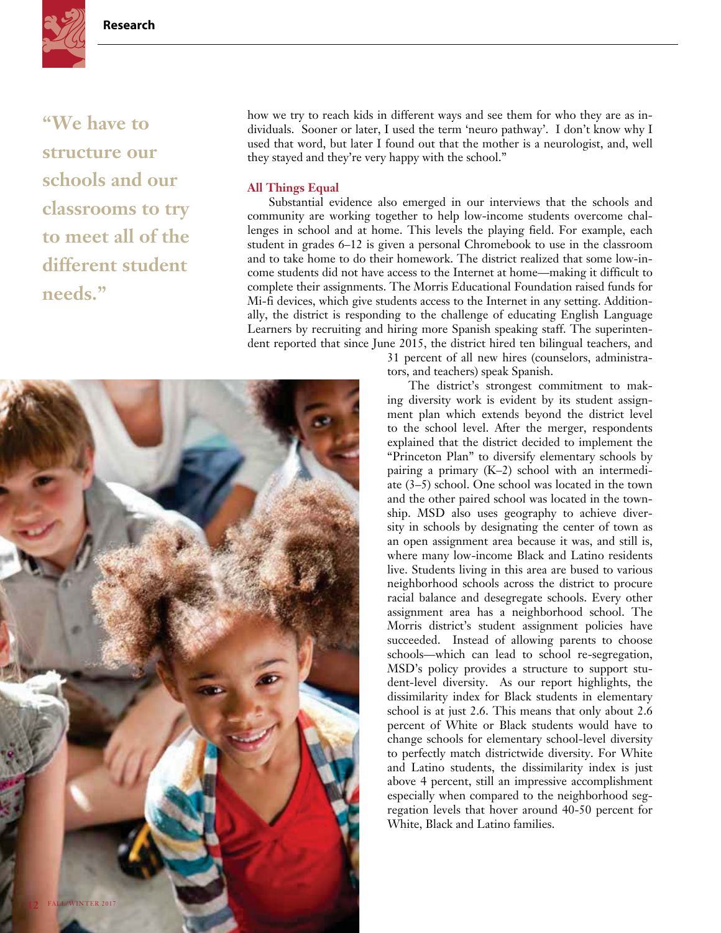

**"We have to structure our schools and our classrooms to try to meet all of the different student needs."**

how we try to reach kids in different ways and see them for who they are as individuals. Sooner or later, I used the term 'neuro pathway'. I don't know why I used that word, but later I found out that the mother is a neurologist, and, well they stayed and they're very happy with the school."

### **All Things Equal**

Substantial evidence also emerged in our interviews that the schools and community are working together to help low-income students overcome challenges in school and at home. This levels the playing field. For example, each student in grades 6–12 is given a personal Chromebook to use in the classroom and to take home to do their homework. The district realized that some low-income students did not have access to the Internet at home—making it difficult to complete their assignments. The Morris Educational Foundation raised funds for Mi-fi devices, which give students access to the Internet in any setting. Additionally, the district is responding to the challenge of educating English Language Learners by recruiting and hiring more Spanish speaking staff. The superintendent reported that since June 2015, the district hired ten bilingual teachers, and

> 31 percent of all new hires (counselors, administrators, and teachers) speak Spanish.

> The district's strongest commitment to making diversity work is evident by its student assignment plan which extends beyond the district level to the school level. After the merger, respondents explained that the district decided to implement the "Princeton Plan" to diversify elementary schools by pairing a primary (K–2) school with an intermediate (3–5) school. One school was located in the town and the other paired school was located in the township. MSD also uses geography to achieve diversity in schools by designating the center of town as an open assignment area because it was, and still is, where many low-income Black and Latino residents live. Students living in this area are bused to various neighborhood schools across the district to procure racial balance and desegregate schools. Every other assignment area has a neighborhood school. The Morris district's student assignment policies have succeeded. Instead of allowing parents to choose schools—which can lead to school re-segregation, MSD's policy provides a structure to support student-level diversity. As our report highlights, the dissimilarity index for Black students in elementary school is at just 2.6. This means that only about 2.6 percent of White or Black students would have to change schools for elementary school-level diversity to perfectly match districtwide diversity. For White and Latino students, the dissimilarity index is just above 4 percent, still an impressive accomplishment especially when compared to the neighborhood segregation levels that hover around 40-50 percent for White, Black and Latino families.